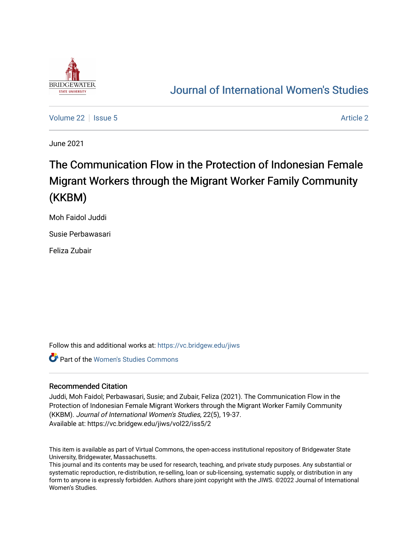

## [Journal of International Women's Studies](https://vc.bridgew.edu/jiws)

[Volume 22](https://vc.bridgew.edu/jiws/vol22) | [Issue 5](https://vc.bridgew.edu/jiws/vol22/iss5) [Article 2](https://vc.bridgew.edu/jiws/vol22/iss5/2) | Issue 5 Article 2 | Issue 5 Article 2 | Issue 5 Article 2 | Issue 5 Article 2 | Issue 5 Article 2 | Issue 5 | Issue 5 | Issue 5 | Issue 5 | Issue 5 | Issue 5 | Issue 5 | Issue 5 | Issue 5 |

June 2021

# The Communication Flow in the Protection of Indonesian Female Migrant Workers through the Migrant Worker Family Community (KKBM)

Moh Faidol Juddi

Susie Perbawasari

Feliza Zubair

Follow this and additional works at: [https://vc.bridgew.edu/jiws](https://vc.bridgew.edu/jiws?utm_source=vc.bridgew.edu%2Fjiws%2Fvol22%2Fiss5%2F2&utm_medium=PDF&utm_campaign=PDFCoverPages)

Part of the [Women's Studies Commons](http://network.bepress.com/hgg/discipline/561?utm_source=vc.bridgew.edu%2Fjiws%2Fvol22%2Fiss5%2F2&utm_medium=PDF&utm_campaign=PDFCoverPages) 

#### Recommended Citation

Juddi, Moh Faidol; Perbawasari, Susie; and Zubair, Feliza (2021). The Communication Flow in the Protection of Indonesian Female Migrant Workers through the Migrant Worker Family Community (KKBM). Journal of International Women's Studies, 22(5), 19-37. Available at: https://vc.bridgew.edu/jiws/vol22/iss5/2

This item is available as part of Virtual Commons, the open-access institutional repository of Bridgewater State University, Bridgewater, Massachusetts.

This journal and its contents may be used for research, teaching, and private study purposes. Any substantial or systematic reproduction, re-distribution, re-selling, loan or sub-licensing, systematic supply, or distribution in any form to anyone is expressly forbidden. Authors share joint copyright with the JIWS. ©2022 Journal of International Women's Studies.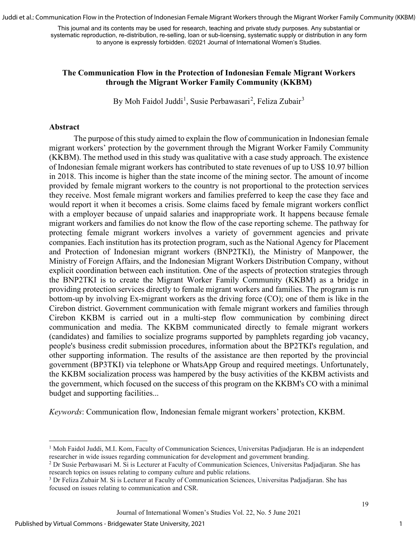Juddi et al.: Communication Flow in the Protection of Indonesian Female Migrant Workers through the Migrant Worker Family Community (KKBM)

This journal and its contents may be used for research, teaching and private study purposes. Any substantial or systematic reproduction, re-distribution, re-selling, loan or sub-licensing, systematic supply or distribution in any form to anyone is expressly forbidden. ©2021 Journal of International Women's Studies.

#### **The Communication Flow in the Protection of Indonesian Female Migrant Workers through the Migrant Worker Family Community (KKBM)**

By Moh Faidol Juddi<sup>[1](#page-1-0)</sup>, Susie Perbawasari<sup>[2](#page-1-1)</sup>, Feliza Zubair<sup>[3](#page-1-2)</sup>

#### **Abstract**

The purpose of this study aimed to explain the flow of communication in Indonesian female migrant workers' protection by the government through the Migrant Worker Family Community (KKBM). The method used in this study was qualitative with a case study approach. The existence of Indonesian female migrant workers has contributed to state revenues of up to US\$ 10.97 billion in 2018. This income is higher than the state income of the mining sector. The amount of income provided by female migrant workers to the country is not proportional to the protection services they receive. Most female migrant workers and families preferred to keep the case they face and would report it when it becomes a crisis. Some claims faced by female migrant workers conflict with a employer because of unpaid salaries and inappropriate work. It happens because female migrant workers and families do not know the flow of the case reporting scheme. The pathway for protecting female migrant workers involves a variety of government agencies and private companies. Each institution has its protection program, such as the National Agency for Placement and Protection of Indonesian migrant workers (BNP2TKI), the Ministry of Manpower, the Ministry of Foreign Affairs, and the Indonesian Migrant Workers Distribution Company, without explicit coordination between each institution. One of the aspects of protection strategies through the BNP2TKI is to create the Migrant Worker Family Community (KKBM) as a bridge in providing protection services directly to female migrant workers and families. The program is run bottom-up by involving Ex-migrant workers as the driving force (CO); one of them is like in the Cirebon district. Government communication with female migrant workers and families through Cirebon KKBM is carried out in a multi-step flow communication by combining direct communication and media. The KKBM communicated directly to female migrant workers (candidates) and families to socialize programs supported by pamphlets regarding job vacancy, people's business credit submission procedures, information about the BP2TKI's regulation, and other supporting information. The results of the assistance are then reported by the provincial government (BP3TKI) via telephone or WhatsApp Group and required meetings. Unfortunately, the KKBM socialization process was hampered by the busy activities of the KKBM activists and the government, which focused on the success of this program on the KKBM's CO with a minimal budget and supporting facilities...

*Keywords*: Communication flow, Indonesian female migrant workers' protection, KKBM.

<span id="page-1-0"></span><sup>&</sup>lt;sup>1</sup> Moh Faidol Juddi, M.I. Kom, Faculty of Communication Sciences, Universitas Padjadjaran. He is an independent researcher in wide issues regarding communication for development and government branding.

<span id="page-1-1"></span><sup>2</sup> Dr Susie Perbawasari M. Si is Lecturer at Faculty of Communication Sciences, Universitas Padjadjaran. She has research topics on issues relating to company culture and public relations.<br><sup>3</sup> Dr Feliza Zubair M. Si is Lecturer at Faculty of Communication Sciences, Universitas Padjadjaran. She has

<span id="page-1-2"></span>focused on issues relating to communication and CSR.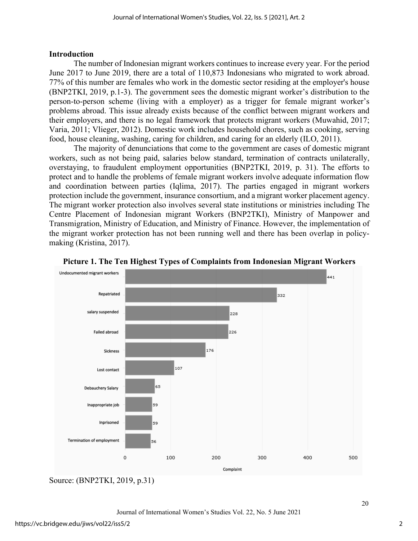#### **Introduction**

The number of Indonesian migrant workers continues to increase every year. For the period June 2017 to June 2019, there are a total of 110,873 Indonesians who migrated to work abroad. 77% of this number are females who work in the domestic sector residing at the employer's house (BNP2TKI, 2019, p.1-3). The government sees the domestic migrant worker's distribution to the person-to-person scheme (living with a employer) as a trigger for female migrant worker's problems abroad. This issue already exists because of the conflict between migrant workers and their employers, and there is no legal framework that protects migrant workers (Muwahid, 2017; Varia, 2011; Vlieger, 2012). Domestic work includes household chores, such as cooking, serving food, house cleaning, washing, caring for children, and caring for an elderly (ILO, 2011).

The majority of denunciations that come to the government are cases of domestic migrant workers, such as not being paid, salaries below standard, termination of contracts unilaterally, overstaying, to fraudulent employment opportunities (BNP2TKI, 2019, p. 31). The efforts to protect and to handle the problems of female migrant workers involve adequate information flow and coordination between parties (Iqlima, 2017). The parties engaged in migrant workers protection include the government, insurance consortium, and a migrant worker placement agency. The migrant worker protection also involves several state institutions or ministries including The Centre Placement of Indonesian migrant Workers (BNP2TKI), Ministry of Manpower and Transmigration, Ministry of Education, and Ministry of Finance. However, the implementation of the migrant worker protection has not been running well and there has been overlap in policymaking (Kristina, 2017).





Source: (BNP2TKI, 2019, p.31)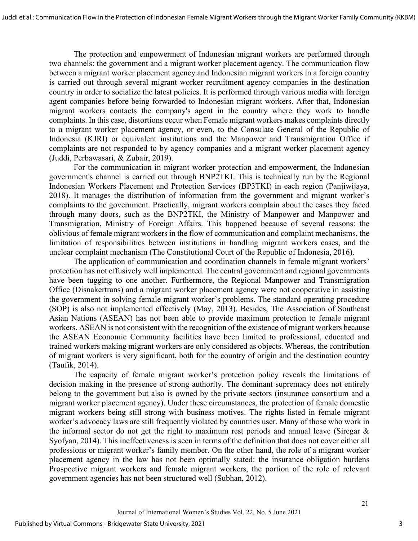The protection and empowerment of Indonesian migrant workers are performed through two channels: the government and a migrant worker placement agency. The communication flow between a migrant worker placement agency and Indonesian migrant workers in a foreign country is carried out through several migrant worker recruitment agency companies in the destination country in order to socialize the latest policies. It is performed through various media with foreign agent companies before being forwarded to Indonesian migrant workers. After that, Indonesian migrant workers contacts the company's agent in the country where they work to handle complaints. In this case, distortions occur when Female migrant workers makes complaints directly to a migrant worker placement agency, or even, to the Consulate General of the Republic of Indonesia (KJRI) or equivalent institutions and the Manpower and Transmigration Office if complaints are not responded to by agency companies and a migrant worker placement agency (Juddi, Perbawasari, & Zubair, 2019).

For the communication in migrant worker protection and empowerment, the Indonesian government's channel is carried out through BNP2TKI. This is technically run by the Regional Indonesian Workers Placement and Protection Services (BP3TKI) in each region (Panjiwijaya, 2018). It manages the distribution of information from the government and migrant worker's complaints to the government. Practically, migrant workers complain about the cases they faced through many doors, such as the BNP2TKI, the Ministry of Manpower and Manpower and Transmigration, Ministry of Foreign Affairs. This happened because of several reasons: the oblivious of female migrant workers in the flow of communication and complaint mechanisms, the limitation of responsibilities between institutions in handling migrant workers cases, and the unclear complaint mechanism (The Constitutional Court of the Republic of Indonesia, 2016).

The application of communication and coordination channels in female migrant workers' protection has not effusively well implemented. The central government and regional governments have been tugging to one another. Furthermore, the Regional Manpower and Transmigration Office (Disnakertrans) and a migrant worker placement agency were not cooperative in assisting the government in solving female migrant worker's problems. The standard operating procedure (SOP) is also not implemented effectively (May, 2013). Besides, The Association of Southeast Asian Nations (ASEAN) has not been able to provide maximum protection to female migrant workers. ASEAN is not consistent with the recognition of the existence of migrant workers because the ASEAN Economic Community facilities have been limited to professional, educated and trained workers making migrant workers are only considered as objects. Whereas, the contribution of migrant workers is very significant, both for the country of origin and the destination country (Taufik, 2014).

The capacity of female migrant worker's protection policy reveals the limitations of decision making in the presence of strong authority. The dominant supremacy does not entirely belong to the government but also is owned by the private sectors (insurance consortium and a migrant worker placement agency). Under these circumstances, the protection of female domestic migrant workers being still strong with business motives. The rights listed in female migrant worker's advocacy laws are still frequently violated by countries user. Many of those who work in the informal sector do not get the right to maximum rest periods and annual leave (Siregar & Syofyan, 2014). This ineffectiveness is seen in terms of the definition that does not cover either all professions or migrant worker's family member. On the other hand, the role of a migrant worker placement agency in the law has not been optimally stated: the insurance obligation burdens Prospective migrant workers and female migrant workers, the portion of the role of relevant government agencies has not been structured well (Subhan, 2012).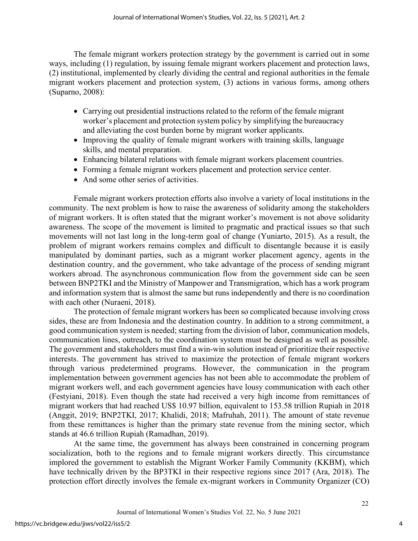The female migrant workers protection strategy by the government is carried out in some ways, including (1) regulation, by issuing female migrant workers placement and protection laws, (2) institutional, implemented by clearly dividing the central and regional authorities in the female migrant workers placement and protection system, (3) actions in various forms, among others (Suparno, 2008):

- Carrying out presidential instructions related to the reform of the female migrant worker's placement and protection system policy by simplifying the bureaucracy and alleviating the cost burden borne by migrant worker applicants.
- Improving the quality of female migrant workers with training skills, language skills, and mental preparation.
- Enhancing bilateral relations with female migrant workers placement countries.
- Forming a female migrant workers placement and protection service center.
- And some other series of activities.

Female migrant workers protection efforts also involve a variety of local institutions in the community. The next problem is how to raise the awareness of solidarity among the stakeholders of migrant workers. It is often stated that the migrant worker's movement is not above solidarity awareness. The scope of the movement is limited to pragmatic and practical issues so that such movements will not last long in the long-term goal of change (Yuniarto, 2015). As a result, the problem of migrant workers remains complex and difficult to disentangle because it is easily manipulated by dominant parties, such as a migrant worker placement agency, agents in the destination country, and the government, who take advantage of the process of sending migrant workers abroad. The asynchronous communication flow from the government side can be seen between BNP2TKI and the Ministry of Manpower and Transmigration, which has a work program and information system that is almost the same but runs independently and there is no coordination with each other (Nuraeni, 2018).

The protection of female migrant workers has been so complicated because involving cross sides, these are from Indonesia and the destination country. In addition to a strong commitment, a good communication system is needed; starting from the division of labor, communication models, communication lines, outreach, to the coordination system must be designed as well as possible. The government and stakeholders must find a win-win solution instead of prioritize their respective interests. The government has strived to maximize the protection of female migrant workers through various predetermined programs. However, the communication in the program implementation between government agencies has not been able to accommodate the problem of migrant workers well, and each government agencies have lousy communication with each other (Festyiani, 2018). Even though the state had received a very high income from remittances of migrant workers that had reached US\$ 10.97 billion, equivalent to 153.58 trillion Rupiah in 2018 (Anggit, 2019; BNP2TKI, 2017; Khalidi, 2018; Mafruhah, 2011). The amount of state revenue from these remittances is higher than the primary state revenue from the mining sector, which stands at 46.6 trillion Rupiah (Ramadhan, 2019).

At the same time, the government has always been constrained in concerning program socialization, both to the regions and to female migrant workers directly. This circumstance implored the government to establish the Migrant Worker Family Community (KKBM), which have technically driven by the BP3TKI in their respective regions since 2017 (Ara, 2018). The protection effort directly involves the female ex-migrant workers in Community Organizer (CO)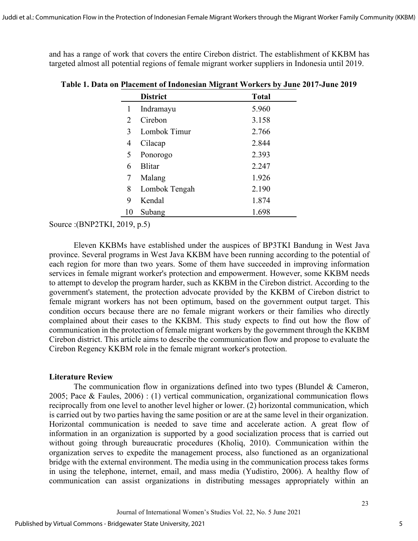and has a range of work that covers the entire Cirebon district. The establishment of KKBM has targeted almost all potential regions of female migrant worker suppliers in Indonesia until 2019.

|                             |                 | ౌ            |  |
|-----------------------------|-----------------|--------------|--|
|                             | <b>District</b> | <b>Total</b> |  |
| 1                           | Indramayu       | 5.960        |  |
| $\mathcal{D}_{\mathcal{L}}$ | Cirebon         | 3.158        |  |
| 3                           | Lombok Timur    | 2.766        |  |
| 4                           | Cilacap         | 2.844        |  |
| 5                           | Ponorogo        | 2.393        |  |
| 6                           | <b>Blitar</b>   | 2.247        |  |
| 7                           | Malang          | 1.926        |  |
| 8                           | Lombok Tengah   | 2.190        |  |
| 9                           | Kendal          | 1.874        |  |
| 10                          | Subang          | 1.698        |  |

**Table 1. Data on Placement of Indonesian Migrant Workers by June 2017-June 2019**

Source :(BNP2TKI, 2019, p.5)

Eleven KKBMs have established under the auspices of BP3TKI Bandung in West Java province. Several programs in West Java KKBM have been running according to the potential of each region for more than two years. Some of them have succeeded in improving information services in female migrant worker's protection and empowerment. However, some KKBM needs to attempt to develop the program harder, such as KKBM in the Cirebon district. According to the government's statement, the protection advocate provided by the KKBM of Cirebon district to female migrant workers has not been optimum, based on the government output target. This condition occurs because there are no female migrant workers or their families who directly complained about their cases to the KKBM. This study expects to find out how the flow of communication in the protection of female migrant workers by the government through the KKBM Cirebon district. This article aims to describe the communication flow and propose to evaluate the Cirebon Regency KKBM role in the female migrant worker's protection.

#### **Literature Review**

The communication flow in organizations defined into two types (Blundel & Cameron, 2005; Pace & Faules, 2006) : (1) vertical communication, organizational communication flows reciprocally from one level to another level higher or lower. (2) horizontal communication, which is carried out by two parties having the same position or are at the same level in their organization. Horizontal communication is needed to save time and accelerate action. A great flow of information in an organization is supported by a good socialization process that is carried out without going through bureaucratic procedures (Kholiq, 2010). Communication within the organization serves to expedite the management process, also functioned as an organizational bridge with the external environment. The media using in the communication process takes forms in using the telephone, internet, email, and mass media (Yudistiro, 2006). A healthy flow of communication can assist organizations in distributing messages appropriately within an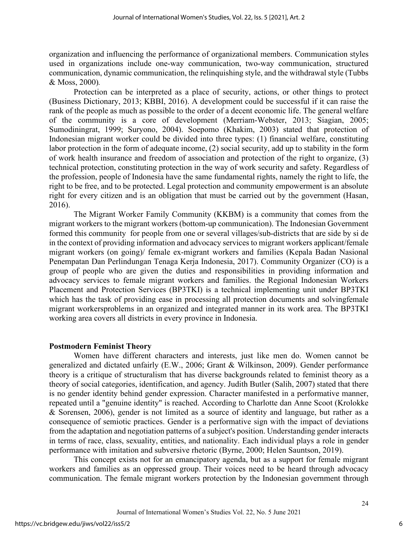organization and influencing the performance of organizational members. Communication styles used in organizations include one-way communication, two-way communication, structured communication, dynamic communication, the relinquishing style, and the withdrawal style (Tubbs & Moss, 2000)*.* 

Protection can be interpreted as a place of security, actions, or other things to protect (Business Dictionary, 2013; KBBI, 2016). A development could be successful if it can raise the rank of the people as much as possible to the order of a decent economic life. The general welfare of the community is a core of development (Merriam-Webster, 2013; Siagian, 2005; Sumodiningrat, 1999; Suryono, 2004). Soepomo (Khakim, 2003) stated that protection of Indonesian migrant worker could be divided into three types: (1) financial welfare, constituting labor protection in the form of adequate income, (2) social security, add up to stability in the form of work health insurance and freedom of association and protection of the right to organize, (3) technical protection, constituting protection in the way of work security and safety. Regardless of the profession, people of Indonesia have the same fundamental rights, namely the right to life, the right to be free, and to be protected. Legal protection and community empowerment is an absolute right for every citizen and is an obligation that must be carried out by the government (Hasan, 2016).

The Migrant Worker Family Community (KKBM) is a community that comes from the migrant workers to the migrant workers (bottom-up communication). The Indonesian Government formed this community for people from one or several villages/sub-districts that are side by si de in the context of providing information and advocacy services to migrant workers applicant/female migrant workers (on going)/ female ex-migrant workers and families (Kepala Badan Nasional Penempatan Dan Perlindungan Tenaga Kerja Indonesia, 2017). Community Organizer (CO) is a group of people who are given the duties and responsibilities in providing information and advocacy services to female migrant workers and families. the Regional Indonesian Workers Placement and Protection Services (BP3TKI) is a technical implementing unit under BP3TKI which has the task of providing ease in processing all protection documents and solvingfemale migrant workersproblems in an organized and integrated manner in its work area. The BP3TKI working area covers all districts in every province in Indonesia.

#### **Postmodern Feminist Theory**

Women have different characters and interests, just like men do. Women cannot be generalized and dictated unfairly (E.W., 2006; Grant & Wilkinson, 2009). Gender performance theory is a critique of structuralism that has diverse backgrounds related to feminist theory as a theory of social categories, identification, and agency. Judith Butler (Salih, 2007) stated that there is no gender identity behind gender expression. Character manifested in a performative manner, repeated until a "genuine identity" is reached. According to Charlotte dan Anne Scoot (Krolokke & Sorensen, 2006), gender is not limited as a source of identity and language, but rather as a consequence of semiotic practices. Gender is a performative sign with the impact of deviations from the adaptation and negotiation patterns of a subject's position. Understanding gender interacts in terms of race, class, sexuality, entities, and nationality. Each individual plays a role in gender performance with imitation and subversive rhetoric (Byrne, 2000; Helen Sauntson, 2019).

This concept exists not for an emancipatory agenda, but as a support for female migrant workers and families as an oppressed group. Their voices need to be heard through advocacy communication. The female migrant workers protection by the Indonesian government through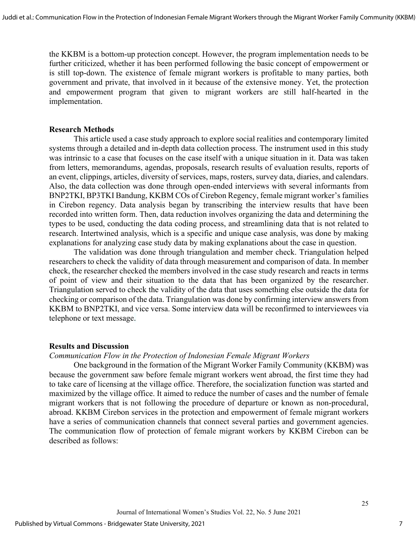the KKBM is a bottom-up protection concept. However, the program implementation needs to be further criticized, whether it has been performed following the basic concept of empowerment or is still top-down. The existence of female migrant workers is profitable to many parties, both government and private, that involved in it because of the extensive money. Yet, the protection and empowerment program that given to migrant workers are still half-hearted in the implementation.

#### **Research Methods**

 This article used a case study approach to explore social realities and contemporary limited systems through a detailed and in-depth data collection process. The instrument used in this study was intrinsic to a case that focuses on the case itself with a unique situation in it. Data was taken from letters, memorandums, agendas, proposals, research results of evaluation results, reports of an event, clippings, articles, diversity of services, maps, rosters, survey data, diaries, and calendars. Also, the data collection was done through open-ended interviews with several informants from BNP2TKI, BP3TKI Bandung, KKBM COs of Cirebon Regency, female migrant worker's families in Cirebon regency. Data analysis began by transcribing the interview results that have been recorded into written form. Then, data reduction involves organizing the data and determining the types to be used, conducting the data coding process, and streamlining data that is not related to research. Intertwined analysis, which is a specific and unique case analysis, was done by making explanations for analyzing case study data by making explanations about the case in question.

The validation was done through triangulation and member check. Triangulation helped researchers to check the validity of data through measurement and comparison of data. In member check, the researcher checked the members involved in the case study research and reacts in terms of point of view and their situation to the data that has been organized by the researcher. Triangulation served to check the validity of the data that uses something else outside the data for checking or comparison of the data. Triangulation was done by confirming interview answers from KKBM to BNP2TKI, and vice versa. Some interview data will be reconfirmed to interviewees via telephone or text message.

#### **Results and Discussion**

#### *Communication Flow in the Protection of Indonesian Female Migrant Workers*

One background in the formation of the Migrant Worker Family Community (KKBM) was because the government saw before female migrant workers went abroad, the first time they had to take care of licensing at the village office. Therefore, the socialization function was started and maximized by the village office. It aimed to reduce the number of cases and the number of female migrant workers that is not following the procedure of departure or known as non-procedural, abroad. KKBM Cirebon services in the protection and empowerment of female migrant workers have a series of communication channels that connect several parties and government agencies. The communication flow of protection of female migrant workers by KKBM Cirebon can be described as follows: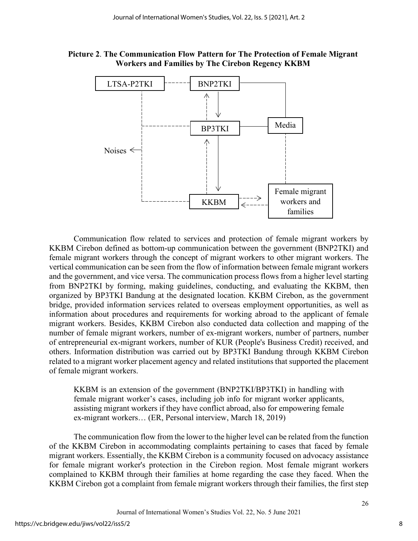**Picture 2**. **The Communication Flow Pattern for The Protection of Female Migrant Workers and Families by The Cirebon Regency KKBM**



Communication flow related to services and protection of female migrant workers by KKBM Cirebon defined as bottom-up communication between the government (BNP2TKI) and female migrant workers through the concept of migrant workers to other migrant workers. The vertical communication can be seen from the flow of information between female migrant workers and the government, and vice versa. The communication process flows from a higher level starting from BNP2TKI by forming, making guidelines, conducting, and evaluating the KKBM, then organized by BP3TKI Bandung at the designated location. KKBM Cirebon, as the government bridge, provided information services related to overseas employment opportunities, as well as information about procedures and requirements for working abroad to the applicant of female migrant workers. Besides, KKBM Cirebon also conducted data collection and mapping of the number of female migrant workers, number of ex-migrant workers, number of partners, number of entrepreneurial ex-migrant workers, number of KUR (People's Business Credit) received, and others. Information distribution was carried out by BP3TKI Bandung through KKBM Cirebon related to a migrant worker placement agency and related institutions that supported the placement of female migrant workers.

KKBM is an extension of the government (BNP2TKI/BP3TKI) in handling with female migrant worker's cases, including job info for migrant worker applicants, assisting migrant workers if they have conflict abroad, also for empowering female ex-migrant workers… (ER, Personal interview, March 18, 2019)

The communication flow from the lower to the higher level can be related from the function of the KKBM Cirebon in accommodating complaints pertaining to cases that faced by female migrant workers. Essentially, the KKBM Cirebon is a community focused on advocacy assistance for female migrant worker's protection in the Cirebon region. Most female migrant workers complained to KKBM through their families at home regarding the case they faced. When the KKBM Cirebon got a complaint from female migrant workers through their families, the first step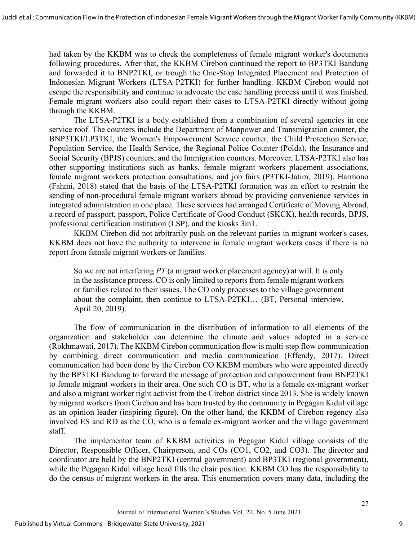had taken by the KKBM was to check the completeness of female migrant worker's documents following procedures. After that, the KKBM Cirebon continued the report to BP3TKI Bandung and forwarded it to BNP2TKI, or trough the One-Stop Integrated Placement and Protection of Indonesian Migrant Workers (LTSA-P2TKI) for further handling. KKBM Cirebon would not escape the responsibility and continue to advocate the case handling process until it was finished. Female migrant workers also could report their cases to LTSA-P2TKI directly without going through the KKBM.

The LTSA-P2TKI is a body established from a combination of several agencies in one service roof. The counters include the Department of Manpower and Transmigration counter, the BNP3TKI/LP3TKI, the Women's Empowerment Service counter, the Child Protection Service, Population Service, the Health Service, the Regional Police Counter (Polda), the Insurance and Social Security (BPJS) counters, and the Immigration counters. Moreover, LTSA-P2TKI also has other supporting institutions such as banks, female migrant workers placement associations, female migrant workers protection consultations, and job fairs (P3TKI-Jatim, 2019). Harmono (Fahmi, 2018) stated that the basis of the LTSA-P2TKI formation was an effort to restrain the sending of non-procedural female migrant workers abroad by providing convenience services in integrated administration in one place. These services had arranged Certificate of Moving Abroad, a record of passport, passport, Police Certificate of Good Conduct (SKCK), health records, BPJS, professional certification institution (LSP), and the kiosks 3in1.

KKBM Cirebon did not arbitrarily push on the relevant parties in migrant worker's cases. KKBM does not have the authority to intervene in female migrant workers cases if there is no report from female migrant workers or families.

So we are not interfering *PT* (a migrant worker placement agency) at will. It is only in the assistance process. CO is only limited to reports from female migrant workers or families related to their issues. The CO only processes to the village government about the complaint, then continue to LTSA-P2TKI… (BT, Personal interview, April 20, 2019).

 The flow of communication in the distribution of information to all elements of the organization and stakeholder can determine the climate and values adopted in a service (Rokhmawati, 2017). The KKBM Cirebon communication flow is multi-step flow communication by combining direct communication and media communication (Effendy, 2017). Direct communication had been done by the Cirebon CO KKBM members who were appointed directly by the BP3TKI Bandung to forward the message of protection and empowerment from BNP2TKI to female migrant workers in their area. One such CO is BT, who is a female ex-migrant worker and also a migrant worker right activist from the Cirebon district since 2013. She is widely known by migrant workers from Cirebon and has been trusted by the community in Pegagan Kidul village as an opinion leader (inspiring figure). On the other hand, the KKBM of Cirebon regency also involved ES and RD as the CO, who is a female ex-migrant worker and the village government staff.

The implementor team of KKBM activities in Pegagan Kidul village consists of the Director, Responsible Officer, Chairperson, and COs (CO1, CO2, and CO3). The director and coordinator are held by the BNP2TKI (central government) and BP3TKI (regional government), while the Pegagan Kidul village head fills the chair position. KKBM CO has the responsibility to do the census of migrant workers in the area. This enumeration covers many data, including the

9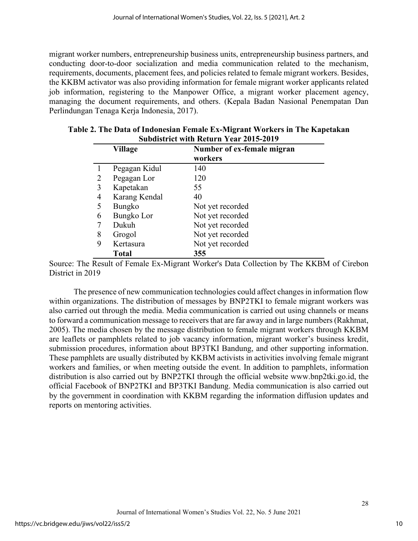migrant worker numbers, entrepreneurship business units, entrepreneurship business partners, and conducting door-to-door socialization and media communication related to the mechanism, requirements, documents, placement fees, and policies related to female migrant workers. Besides, the KKBM activator was also providing information for female migrant worker applicants related job information, registering to the Manpower Office, a migrant worker placement agency, managing the document requirements, and others. (Kepala Badan Nasional Penempatan Dan Perlindungan Tenaga Kerja Indonesia, 2017).

|   | Village       | Number of ex-female migran<br>workers |
|---|---------------|---------------------------------------|
|   | Pegagan Kidul | 140                                   |
| 2 | Pegagan Lor   | 120                                   |
| 3 | Kapetakan     | 55                                    |
| 4 | Karang Kendal | 40                                    |
| 5 | <b>Bungko</b> | Not yet recorded                      |
| 6 | Bungko Lor    | Not yet recorded                      |
|   | Dukuh         | Not yet recorded                      |
| 8 | Grogol        | Not yet recorded                      |
| 9 | Kertasura     | Not yet recorded                      |
|   | <b>Total</b>  | 355                                   |

| Table 2. The Data of Indonesian Female Ex-Migrant Workers in The Kapetakan |
|----------------------------------------------------------------------------|
| <b>Subdistrict with Return Year 2015-2019</b>                              |

Source: The Result of Female Ex-Migrant Worker's Data Collection by The KKBM of Cirebon District in 2019

The presence of new communication technologies could affect changes in information flow within organizations. The distribution of messages by BNP2TKI to female migrant workers was also carried out through the media. Media communication is carried out using channels or means to forward a communication message to receivers that are far away and in large numbers(Rakhmat, 2005). The media chosen by the message distribution to female migrant workers through KKBM are leaflets or pamphlets related to job vacancy information, migrant worker's business kredit, submission procedures, information about BP3TKI Bandung, and other supporting information. These pamphlets are usually distributed by KKBM activists in activities involving female migrant workers and families, or when meeting outside the event. In addition to pamphlets, information distribution is also carried out by BNP2TKI through the official website [www.bnp2tki.go.id,](http://www.bnp2tki.go.id/) the official Facebook of BNP2TKI and BP3TKI Bandung. Media communication is also carried out by the government in coordination with KKBM regarding the information diffusion updates and reports on mentoring activities.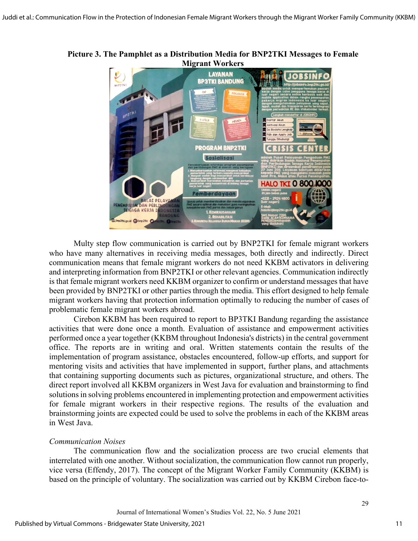

**Picture 3. The Pamphlet as a Distribution Media for BNP2TKI Messages to Female Migrant Workers**

Multy step flow communication is carried out by BNP2TKI for female migrant workers who have many alternatives in receiving media messages, both directly and indirectly. Direct communication means that female migrant workers do not need KKBM activators in delivering and interpreting information from BNP2TKI or other relevant agencies. Communication indirectly is that female migrant workers need KKBM organizer to confirm or understand messages that have been provided by BNP2TKI or other parties through the media. This effort designed to help female migrant workers having that protection information optimally to reducing the number of cases of problematic female migrant workers abroad.

Cirebon KKBM has been required to report to BP3TKI Bandung regarding the assistance activities that were done once a month. Evaluation of assistance and empowerment activities performed once a year together (KKBM throughout Indonesia's districts) in the central government office. The reports are in writing and oral. Written statements contain the results of the implementation of program assistance, obstacles encountered, follow-up efforts, and support for mentoring visits and activities that have implemented in support, further plans, and attachments that containing supporting documents such as pictures, organizational structure, and others. The direct report involved all KKBM organizers in West Java for evaluation and brainstorming to find solutions in solving problems encountered in implementing protection and empowerment activities for female migrant workers in their respective regions. The results of the evaluation and brainstorming joints are expected could be used to solve the problems in each of the KKBM areas in West Java.

#### *Communication Noises*

The communication flow and the socialization process are two crucial elements that interrelated with one another. Without socialization, the communication flow cannot run properly, vice versa (Effendy, 2017). The concept of the Migrant Worker Family Community (KKBM) is based on the principle of voluntary. The socialization was carried out by KKBM Cirebon face-to-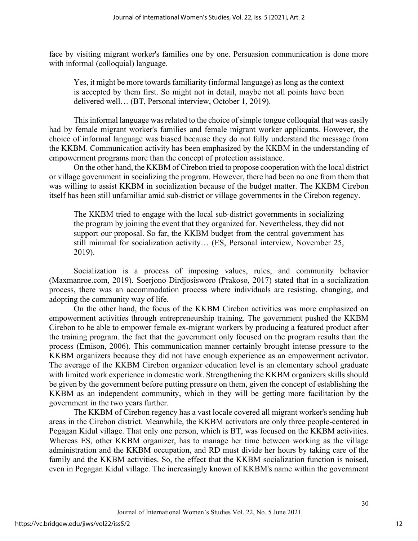face by visiting migrant worker's families one by one. Persuasion communication is done more with informal (colloquial) language.

Yes, it might be more towards familiarity (informal language) as long as the context is accepted by them first. So might not in detail, maybe not all points have been delivered well… (BT, Personal interview, October 1, 2019).

This informal language was related to the choice of simple tongue colloquial that was easily had by female migrant worker's families and female migrant worker applicants. However, the choice of informal language was biased because they do not fully understand the message from the KKBM. Communication activity has been emphasized by the KKBM in the understanding of empowerment programs more than the concept of protection assistance.

On the other hand, the KKBM of Cirebon tried to propose cooperation with the local district or village government in socializing the program. However, there had been no one from them that was willing to assist KKBM in socialization because of the budget matter. The KKBM Cirebon itself has been still unfamiliar amid sub-district or village governments in the Cirebon regency.

The KKBM tried to engage with the local sub-district governments in socializing the program by joining the event that they organized for. Nevertheless, they did not support our proposal. So far, the KKBM budget from the central government has still minimal for socialization activity… (ES, Personal interview, November 25, 2019).

Socialization is a process of imposing values, rules, and community behavior (Maxmanroe.com, 2019). Soerjono Dirdjosisworo (Prakoso, 2017) stated that in a socialization process, there was an accommodation process where individuals are resisting, changing, and adopting the community way of life.

On the other hand, the focus of the KKBM Cirebon activities was more emphasized on empowerment activities through entrepreneurship training. The government pushed the KKBM Cirebon to be able to empower female ex-migrant workers by producing a featured product after the training program. the fact that the government only focused on the program results than the process (Emison, 2006). This communication manner certainly brought intense pressure to the KKBM organizers because they did not have enough experience as an empowerment activator. The average of the KKBM Cirebon organizer education level is an elementary school graduate with limited work experience in domestic work. Strengthening the KKBM organizers skills should be given by the government before putting pressure on them, given the concept of establishing the KKBM as an independent community, which in they will be getting more facilitation by the government in the two years further.

The KKBM of Cirebon regency has a vast locale covered all migrant worker's sending hub areas in the Cirebon district. Meanwhile, the KKBM activators are only three people-centered in Pegagan Kidul village. That only one person, which is BT, was focused on the KKBM activities. Whereas ES, other KKBM organizer, has to manage her time between working as the village administration and the KKBM occupation, and RD must divide her hours by taking care of the family and the KKBM activities. So, the effect that the KKBM socialization function is noised, even in Pegagan Kidul village. The increasingly known of KKBM's name within the government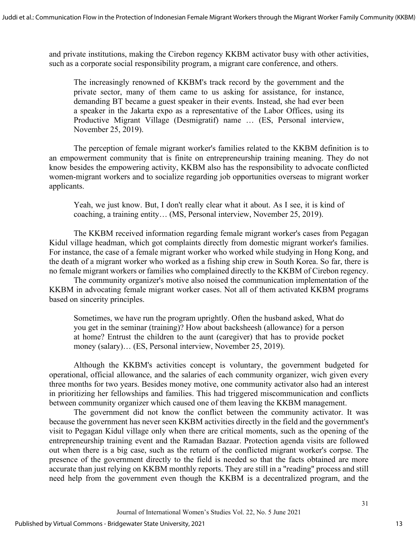and private institutions, making the Cirebon regency KKBM activator busy with other activities, such as a corporate social responsibility program, a migrant care conference, and others.

The increasingly renowned of KKBM's track record by the government and the private sector, many of them came to us asking for assistance, for instance, demanding BT became a guest speaker in their events. Instead, she had ever been a speaker in the Jakarta expo as a representative of the Labor Offices, using its Productive Migrant Village (Desmigratif) name … (ES, Personal interview, November 25, 2019).

The perception of female migrant worker's families related to the KKBM definition is to an empowerment community that is finite on entrepreneurship training meaning. They do not know besides the empowering activity, KKBM also has the responsibility to advocate conflicted women-migrant workers and to socialize regarding job opportunities overseas to migrant worker applicants.

Yeah, we just know. But, I don't really clear what it about. As I see, it is kind of coaching, a training entity… (MS, Personal interview, November 25, 2019).

The KKBM received information regarding female migrant worker's cases from Pegagan Kidul village headman, which got complaints directly from domestic migrant worker's families. For instance, the case of a female migrant worker who worked while studying in Hong Kong, and the death of a migrant worker who worked as a fishing ship crew in South Korea. So far, there is no female migrant workers or families who complained directly to the KKBM of Cirebon regency.

The community organizer's motive also noised the communication implementation of the KKBM in advocating female migrant worker cases. Not all of them activated KKBM programs based on sincerity principles.

Sometimes, we have run the program uprightly. Often the husband asked, What do you get in the seminar (training)? How about backsheesh (allowance) for a person at home? Entrust the children to the aunt (caregiver) that has to provide pocket money (salary)… (ES, Personal interview, November 25, 2019).

Although the KKBM's activities concept is voluntary, the government budgeted for operational, official allowance, and the salaries of each community organizer, wich given every three months for two years. Besides money motive, one community activator also had an interest in prioritizing her fellowships and families. This had triggered miscommunication and conflicts between community organizer which caused one of them leaving the KKBM management.

The government did not know the conflict between the community activator. It was because the government has never seen KKBM activities directly in the field and the government's visit to Pegagan Kidul village only when there are critical moments, such as the opening of the entrepreneurship training event and the Ramadan Bazaar. Protection agenda visits are followed out when there is a big case, such as the return of the conflicted migrant worker's corpse. The presence of the government directly to the field is needed so that the facts obtained are more accurate than just relying on KKBM monthly reports. They are still in a "reading" process and still need help from the government even though the KKBM is a decentralized program, and the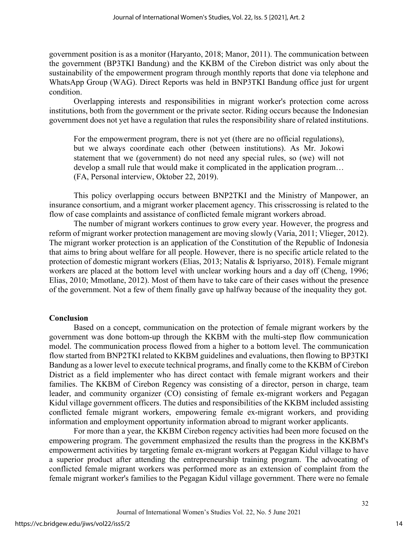government position is as a monitor (Haryanto, 2018; Manor, 2011). The communication between the government (BP3TKI Bandung) and the KKBM of the Cirebon district was only about the sustainability of the empowerment program through monthly reports that done via telephone and WhatsApp Group (WAG). Direct Reports was held in BNP3TKI Bandung office just for urgent condition.

Overlapping interests and responsibilities in migrant worker's protection come across institutions, both from the government or the private sector. Riding occurs because the Indonesian government does not yet have a regulation that rules the responsibility share of related institutions.

For the empowerment program, there is not yet (there are no official regulations), but we always coordinate each other (between institutions). As Mr. Jokowi statement that we (government) do not need any special rules, so (we) will not develop a small rule that would make it complicated in the application program… (FA, Personal interview, Oktober 22, 2019).

This policy overlapping occurs between BNP2TKI and the Ministry of Manpower, an insurance consortium, and a migrant worker placement agency. This crisscrossing is related to the flow of case complaints and assistance of conflicted female migrant workers abroad.

The number of migrant workers continues to grow every year. However, the progress and reform of migrant worker protection management are moving slowly (Varia, 2011; Vlieger, 2012). The migrant worker protection is an application of the Constitution of the Republic of Indonesia that aims to bring about welfare for all people. However, there is no specific article related to the protection of domestic migrant workers (Elias, 2013; Natalis & Ispriyarso, 2018). Female migrant workers are placed at the bottom level with unclear working hours and a day off (Cheng, 1996; Elias, 2010; Mmotlane, 2012). Most of them have to take care of their cases without the presence of the government. Not a few of them finally gave up halfway because of the inequality they got.

#### **Conclusion**

Based on a concept, communication on the protection of female migrant workers by the government was done bottom-up through the KKBM with the multi-step flow communication model. The communication process flowed from a higher to a bottom level. The communication flow started from BNP2TKI related to KKBM guidelines and evaluations, then flowing to BP3TKI Bandung as a lower level to execute technical programs, and finally come to the KKBM of Cirebon District as a field implementer who has direct contact with female migrant workers and their families. The KKBM of Cirebon Regency was consisting of a director, person in charge, team leader, and community organizer (CO) consisting of female ex-migrant workers and Pegagan Kidul village government officers. The duties and responsibilities of the KKBM included assisting conflicted female migrant workers, empowering female ex-migrant workers, and providing information and employment opportunity information abroad to migrant worker applicants.

For more than a year, the KKBM Cirebon regency activities had been more focused on the empowering program. The government emphasized the results than the progress in the KKBM's empowerment activities by targeting female ex-migrant workers at Pegagan Kidul village to have a superior product after attending the entrepreneurship training program. The advocating of conflicted female migrant workers was performed more as an extension of complaint from the female migrant worker's families to the Pegagan Kidul village government. There were no female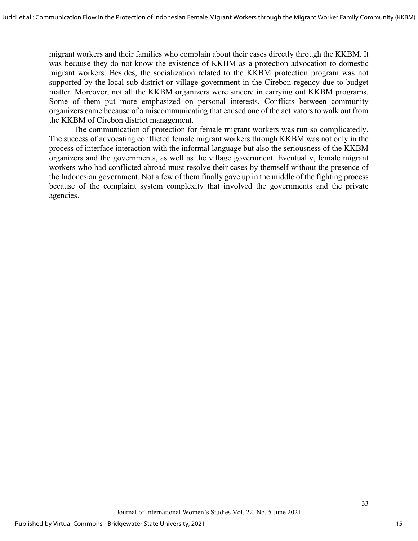migrant workers and their families who complain about their cases directly through the KKBM. It was because they do not know the existence of KKBM as a protection advocation to domestic migrant workers. Besides, the socialization related to the KKBM protection program was not supported by the local sub-district or village government in the Cirebon regency due to budget matter. Moreover, not all the KKBM organizers were sincere in carrying out KKBM programs. Some of them put more emphasized on personal interests. Conflicts between community organizers came because of a miscommunicating that caused one of the activators to walk out from the KKBM of Cirebon district management.

The communication of protection for female migrant workers was run so complicatedly. The success of advocating conflicted female migrant workers through KKBM was not only in the process of interface interaction with the informal language but also the seriousness of the KKBM organizers and the governments, as well as the village government. Eventually, female migrant workers who had conflicted abroad must resolve their cases by themself without the presence of the Indonesian government. Not a few of them finally gave up in the middle of the fighting process because of the complaint system complexity that involved the governments and the private agencies.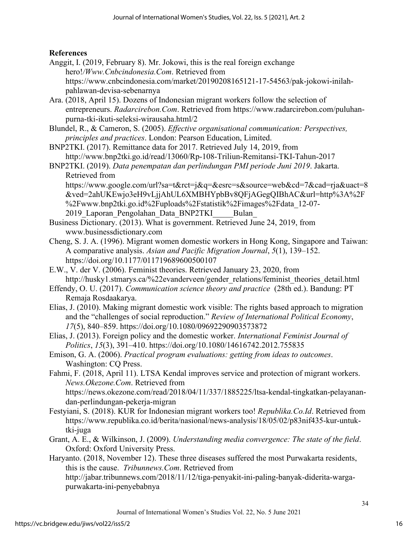### **References**

- Anggit, I. (2019, February 8). Mr. Jokowi, this is the real foreign exchange hero!*/Www.Cnbcindonesia.Com*. Retrieved from https://www.cnbcindonesia.com/market/20190208165121-17-54563/pak-jokowi-inilahpahlawan-devisa-sebenarnya
- Ara. (2018, April 15). Dozens of Indonesian migrant workers follow the selection of entrepreneurs. *Radarcirebon.Com*. Retrieved from https://www.radarcirebon.com/puluhanpurna-tki-ikuti-seleksi-wirausaha.html/2
- Blundel, R., & Cameron, S. (2005). *Effective organisational communication: Perspectives, principles and practices*. London: Pearson Education, Limited.
- BNP2TKI. (2017). Remittance data for 2017. Retrieved July 14, 2019, from http://www.bnp2tki.go.id/read/13060/Rp-108-Triliun-Remitansi-TKI-Tahun-2017
- BNP2TKI. (2019). *Data penempatan dan perlindungan PMI periode Juni 2019*. Jakarta. Retrieved from
	- https://www.google.com/url?sa=t&rct=j&q=&esrc=s&source=web&cd=7&cad=rja&uact=8 &ved=2ahUKEwjo3eH9vLjjAhUL6XMBHYpbBv8QFjAGegQIBhAC&url=http%3A%2F %2Fwww.bnp2tki.go.id%2Fuploads%2Fstatistik%2Fimages%2Fdata\_12-07- 2019 Laporan Pengolahan Data BNP2TKI Bulan
- Business Dictionary. (2013). What is government. Retrieved June 24, 2019, from www.businessdictionary.com
- Cheng, S. J. A. (1996). Migrant women domestic workers in Hong Kong, Singapore and Taiwan: A comparative analysis. *Asian and Pacific Migration Journal*, *5*(1), 139–152. https://doi.org/10.1177/011719689600500107
- E.W., V. der V. (2006). Feminist theories. Retrieved January 23, 2020, from http://husky1.stmarys.ca/%22evanderveen/gender\_relations/feminist\_theories\_detail.html
- Effendy, O. U. (2017). *Communication science theory and practice* (28th ed.). Bandung: PT Remaja Rosdaakarya.
- Elias, J. (2010). Making migrant domestic work visible: The rights based approach to migration and the "challenges of social reproduction." *Review of International Political Economy*, *17*(5), 840–859. https://doi.org/10.1080/09692290903573872
- Elias, J. (2013). Foreign policy and the domestic worker. *International Feminist Journal of Politics*, *15*(3), 391–410. https://doi.org/10.1080/14616742.2012.755835
- Emison, G. A. (2006). *Practical program evaluations: getting from ideas to outcomes*. Washington: CQ Press.
- Fahmi, F. (2018, April 11). LTSA Kendal improves service and protection of migrant workers. *News.Okezone.Com*. Retrieved from https://news.okezone.com/read/2018/04/11/337/1885225/ltsa-kendal-tingkatkan-pelayanandan-perlindungan-pekerja-migran
- Festyiani, S. (2018). KUR for Indonesian migrant workers too! *Republika.Co.Id*. Retrieved from https://www.republika.co.id/berita/nasional/news-analysis/18/05/02/p83nif435-kur-untuktki-juga
- Grant, A. E., & Wilkinson, J. (2009). *Understanding media convergence: The state of the field*. Oxford: Oxford University Press.
- Haryanto. (2018, November 12). These three diseases suffered the most Purwakarta residents, this is the cause. *Tribunnews.Com*. Retrieved from http://jabar.tribunnews.com/2018/11/12/tiga-penyakit-ini-paling-banyak-diderita-wargapurwakarta-ini-penyebabnya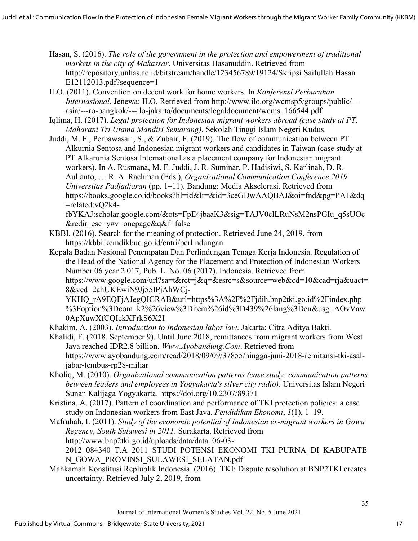Hasan, S. (2016). *The role of the government in the protection and empowerment of traditional markets in the city of Makassar*. Universitas Hasanuddin. Retrieved from http://repository.unhas.ac.id/bitstream/handle/123456789/19124/Skripsi Saifullah Hasan E12112013.pdf?sequence=1

- ILO. (2011). Convention on decent work for home workers. In *Konferensi Perburuhan Internasional*. Jenewa: ILO. Retrieved from http://www.ilo.org/wcmsp5/groups/public/-- asia/---ro-bangkok/---ilo-jakarta/documents/legaldocument/wcms\_166544.pdf
- Iqlima, H. (2017). *Legal protection for Indonesian migrant workers abroad (case study at PT. Maharani Tri Utama Mandiri Semarang)*. Sekolah Tinggi Islam Negeri Kudus.
- Juddi, M. F., Perbawasari, S., & Zubair, F. (2019). The flow of communication between PT Alkurnia Sentosa and Indonesian migrant workers and candidates in Taiwan (case study at PT Alkarunia Sentosa International as a placement company for Indonesian migrant workers). In A. Rusmana, M. F. Juddi, J. R. Suminar, P. Hadisiwi, S. Karlinah, D. R. Aulianto, … R. A. Rachman (Eds.), *Organizational Communication Conference 2019 Universitas Padjadjaran* (pp. 1–11). Bandung: Media Akselerasi. Retrieved from https://books.google.co.id/books?hl=id&lr=&id=3ceGDwAAQBAJ&oi=fnd&pg=PA1&dq =related:vQ2k4-

fbYKAJ:scholar.google.com/&ots=FpE4jbaaK3&sig=TAJV0clLRuNsM2nsPGIu\_q5sUOc &redir\_esc=y#v=onepage&q&f=false

- KBBI. (2016). Search for the meaning of protection. Retrieved June 24, 2019, from https://kbbi.kemdikbud.go.id/entri/perlindungan
- Kepala Badan Nasional Penempatan Dan Perlindungan Tenaga Kerja Indonesia. Regulation of the Head of the National Agency for the Placement and Protection of Indonesian Workers Number 06 year 2 017, Pub. L. No. 06 (2017). Indonesia. Retrieved from https://www.google.com/url?sa=t&rct=j&q=&esrc=s&source=web&cd=10&cad=rja&uact= 8&ved=2ahUKEwiN9Jj55IPjAhWCj-

YKHQ\_rA9EQFjAJegQICRAB&url=https%3A%2F%2Fjdih.bnp2tki.go.id%2Findex.php %3Foption%3Dcom\_k2%26view%3Ditem%26id%3D439%26lang%3Den&usg=AOvVaw 0ApXuwXfCQIekXFrkS6X2I

Khakim, A. (2003). *Introduction to Indonesian labor law*. Jakarta: Citra Aditya Bakti.

- Khalidi, F. (2018, September 9). Until June 2018, remittances from migrant workers from West Java reached IDR2.8 billion. *Www.Ayobandung.Com*. Retrieved from https://www.ayobandung.com/read/2018/09/09/37855/hingga-juni-2018-remitansi-tki-asaljabar-tembus-rp28-miliar
- Kholiq, M. (2010). *Organizational communication patterns (case study: communication patterns between leaders and employees in Yogyakarta's silver city radio)*. Universitas Islam Negeri Sunan Kalijaga Yogyakarta. https://doi.org/10.2307/89371
- Kristina, A. (2017). Pattern of coordination and performance of TKI protection policies: a case study on Indonesian workers from East Java. *Pendidikan Ekonomi*, *1*(1), 1–19.

Mafruhah, I. (2011). *Study of the economic potential of Indonesian ex-migrant workers in Gowa Regency, South Sulawesi in 2011*. Surakarta. Retrieved from http://www.bnp2tki.go.id/uploads/data/data\_06-03- 2012\_084340\_T.A\_2011\_STUDI\_POTENSI\_EKONOMI\_TKI\_PURNA\_DI\_KABUPATE N\_GOWA\_PROVINSI\_SULAWESI\_SELATAN.pdf

Mahkamah Konstitusi Replublik Indonesia. (2016). TKI: Dispute resolution at BNP2TKI creates uncertainty. Retrieved July 2, 2019, from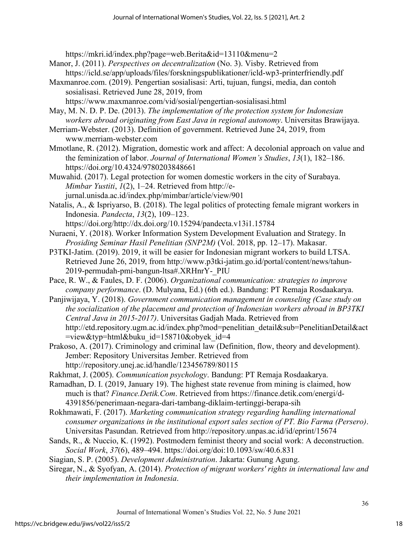https://mkri.id/index.php?page=web.Berita&id=13110&menu=2

- Manor, J. (2011). *Perspectives on decentralization* (No. 3). Visby. Retrieved from https://icld.se/app/uploads/files/forskningspublikationer/icld-wp3-printerfriendly.pdf
- Maxmanroe.com. (2019). Pengertian sosialisasi: Arti, tujuan, fungsi, media, dan contoh sosialisasi. Retrieved June 28, 2019, from

https://www.maxmanroe.com/vid/sosial/pengertian-sosialisasi.html

- May, M. N. D. P. De. (2013). *The implementation of the protection system for Indonesian workers abroad originating from East Java in regional autonomy*. Universitas Brawijaya.
- Merriam-Webster. (2013). Definition of government. Retrieved June 24, 2019, from www.merriam-webster.com
- Mmotlane, R. (2012). Migration, domestic work and affect: A decolonial approach on value and the feminization of labor. *Journal of International Women's Studies*, *13*(1), 182–186. https://doi.org/10.4324/9780203848661
- Muwahid. (2017). Legal protection for women domestic workers in the city of Surabaya. *Mimbar Yustiti*, *1*(2), 1–24. Retrieved from http://ejurnal.unisda.ac.id/index.php/mimbar/article/view/901
- Natalis, A., & Ispriyarso, B. (2018). The legal politics of protecting female migrant workers in Indonesia. *Pandecta*, *13*(2), 109–123.

https://doi.org/http://dx.doi.org/10.15294/pandecta.v13i1.15784

- Nuraeni, Y. (2018). Worker Information System Development Evaluation and Strategy. In *Prosiding Seminar Hasil Penelitian (SNP2M)* (Vol. 2018, pp. 12–17). Makasar.
- P3TKI-Jatim. (2019). 2019, it will be easier for Indonesian migrant workers to build LTSA. Retrieved June 26, 2019, from http://www.p3tki-jatim.go.id/portal/content/news/tahun-2019-permudah-pmi-bangun-ltsa#.XRHnrY-\_PIU
- Pace, R. W., & Faules, D. F. (2006). *Organizational communication: strategies to improve company performance*. (D. Mulyana, Ed.) (6th ed.). Bandung: PT Remaja Rosdaakarya.

Panjiwijaya, Y. (2018). *Government communication management in counseling (Case study on the socialization of the placement and protection of Indonesian workers abroad in BP3TKI Central Java in 2015-2017)*. Universitas Gadjah Mada. Retrieved from http://etd.repository.ugm.ac.id/index.php?mod=penelitian\_detail&sub=PenelitianDetail&act =view&typ=html&buku\_id=158710&obyek\_id=4

- Prakoso, A. (2017). Criminology and criminal law (Definition, flow, theory and development). Jember: Repository Universitas Jember. Retrieved from http://repository.unej.ac.id/handle/123456789/80115
- Rakhmat, J. (2005). *Communication psychology*. Bandung: PT Remaja Rosdaakarya.

Ramadhan, D. I. (2019, January 19). The highest state revenue from mining is claimed, how much is that? *Finance.Detik.Com*. Retrieved from https://finance.detik.com/energi/d-4391856/penerimaan-negara-dari-tambang-diklaim-tertinggi-berapa-sih

- Rokhmawati, F. (2017). *Marketing communication strategy regarding handling international consumer organizations in the institutional export sales section of PT. Bio Farma (Persero)*. Universitas Pasundan. Retrieved from http://repository.unpas.ac.id/id/eprint/15674
- Sands, R., & Nuccio, K. (1992). Postmodern feminist theory and social work: A deconstruction. *Social Work*, *37*(6), 489–494. https://doi.org/doi:10.1093/sw/40.6.831
- Siagian, S. P. (2005). *Development Administration*. Jakarta: Gunung Agung.
- Siregar, N., & Syofyan, A. (2014). *Protection of migrant workers' rights in international law and their implementation in Indonesia*.